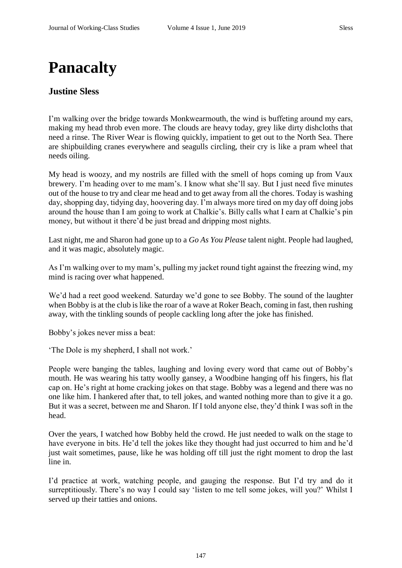## **Panacalty**

## **Justine Sless**

I'm walking over the bridge towards Monkwearmouth, the wind is buffeting around my ears, making my head throb even more. The clouds are heavy today, grey like dirty dishcloths that need a rinse. The River Wear is flowing quickly, impatient to get out to the North Sea. There are shipbuilding cranes everywhere and seagulls circling, their cry is like a pram wheel that needs oiling.

My head is woozy, and my nostrils are filled with the smell of hops coming up from Vaux brewery. I'm heading over to me mam's. I know what she'll say. But I just need five minutes out of the house to try and clear me head and to get away from all the chores. Today is washing day, shopping day, tidying day, hoovering day. I'm always more tired on my day off doing jobs around the house than I am going to work at Chalkie's. Billy calls what I earn at Chalkie's pin money, but without it there'd be just bread and dripping most nights.

Last night, me and Sharon had gone up to a *Go As You Please* talent night. People had laughed, and it was magic, absolutely magic.

As I'm walking over to my mam's, pulling my jacket round tight against the freezing wind, my mind is racing over what happened.

We'd had a reet good weekend. Saturday we'd gone to see Bobby. The sound of the laughter when Bobby is at the club is like the roar of a wave at Roker Beach, coming in fast, then rushing away, with the tinkling sounds of people cackling long after the joke has finished.

Bobby's jokes never miss a beat:

'The Dole is my shepherd, I shall not work.'

People were banging the tables, laughing and loving every word that came out of Bobby's mouth. He was wearing his tatty woolly gansey, a Woodbine hanging off his fingers, his flat cap on. He's right at home cracking jokes on that stage. Bobby was a legend and there was no one like him. I hankered after that, to tell jokes, and wanted nothing more than to give it a go. But it was a secret, between me and Sharon. If I told anyone else, they'd think I was soft in the head.

Over the years, I watched how Bobby held the crowd. He just needed to walk on the stage to have everyone in bits. He'd tell the jokes like they thought had just occurred to him and he'd just wait sometimes, pause, like he was holding off till just the right moment to drop the last line in.

I'd practice at work, watching people, and gauging the response. But I'd try and do it surreptitiously. There's no way I could say 'listen to me tell some jokes, will you?' Whilst I served up their tatties and onions.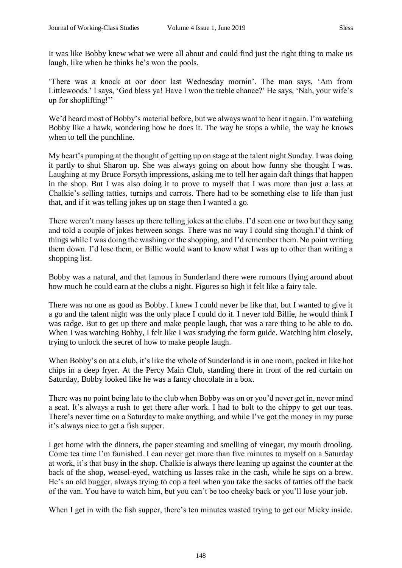It was like Bobby knew what we were all about and could find just the right thing to make us laugh, like when he thinks he's won the pools.

'There was a knock at oor door last Wednesday mornin'. The man says, 'Am from Littlewoods.' I says, 'God bless ya! Have I won the treble chance?' He says, 'Nah, your wife's up for shoplifting!''

We'd heard most of Bobby's material before, but we always want to hear it again. I'm watching Bobby like a hawk, wondering how he does it. The way he stops a while, the way he knows when to tell the punchline.

My heart's pumping at the thought of getting up on stage at the talent night Sunday. I was doing it partly to shut Sharon up. She was always going on about how funny she thought I was. Laughing at my Bruce Forsyth impressions, asking me to tell her again daft things that happen in the shop. But I was also doing it to prove to myself that I was more than just a lass at Chalkie's selling tatties, turnips and carrots. There had to be something else to life than just that, and if it was telling jokes up on stage then I wanted a go.

There weren't many lasses up there telling jokes at the clubs. I'd seen one or two but they sang and told a couple of jokes between songs. There was no way I could sing though.I'd think of things while I was doing the washing or the shopping, and I'd remember them. No point writing them down. I'd lose them, or Billie would want to know what I was up to other than writing a shopping list.

Bobby was a natural, and that famous in Sunderland there were rumours flying around about how much he could earn at the clubs a night. Figures so high it felt like a fairy tale.

There was no one as good as Bobby. I knew I could never be like that, but I wanted to give it a go and the talent night was the only place I could do it. I never told Billie, he would think I was radge. But to get up there and make people laugh, that was a rare thing to be able to do. When I was watching Bobby, I felt like I was studying the form guide. Watching him closely, trying to unlock the secret of how to make people laugh.

When Bobby's on at a club, it's like the whole of Sunderland is in one room, packed in like hot chips in a deep fryer. At the Percy Main Club, standing there in front of the red curtain on Saturday, Bobby looked like he was a fancy chocolate in a box.

There was no point being late to the club when Bobby was on or you'd never get in, never mind a seat. It's always a rush to get there after work. I had to bolt to the chippy to get our teas. There's never time on a Saturday to make anything, and while I've got the money in my purse it's always nice to get a fish supper.

I get home with the dinners, the paper steaming and smelling of vinegar, my mouth drooling. Come tea time I'm famished. I can never get more than five minutes to myself on a Saturday at work, it's that busy in the shop. Chalkie is always there leaning up against the counter at the back of the shop, weasel-eyed, watching us lasses rake in the cash, while he sips on a brew. He's an old bugger, always trying to cop a feel when you take the sacks of tatties off the back of the van. You have to watch him, but you can't be too cheeky back or you'll lose your job.

When I get in with the fish supper, there's ten minutes wasted trying to get our Micky inside.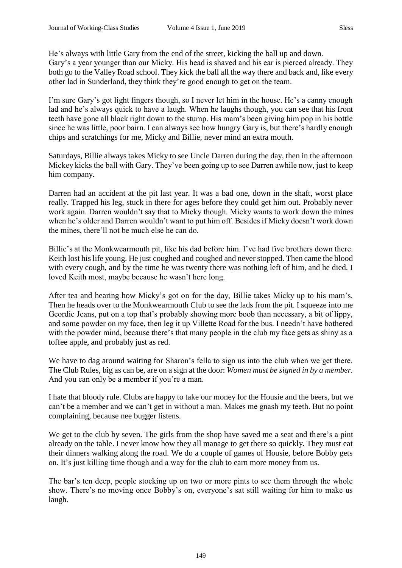He's always with little Gary from the end of the street, kicking the ball up and down. Gary's a year younger than our Micky. His head is shaved and his ear is pierced already. They

both go to the Valley Road school. They kick the ball all the way there and back and, like every other lad in Sunderland, they think they're good enough to get on the team.

I'm sure Gary's got light fingers though, so I never let him in the house. He's a canny enough lad and he's always quick to have a laugh. When he laughs though, you can see that his front teeth have gone all black right down to the stump. His mam's been giving him pop in his bottle since he was little, poor bairn. I can always see how hungry Gary is, but there's hardly enough chips and scratchings for me, Micky and Billie, never mind an extra mouth.

Saturdays, Billie always takes Micky to see Uncle Darren during the day, then in the afternoon Mickey kicks the ball with Gary. They've been going up to see Darren awhile now, just to keep him company.

Darren had an accident at the pit last year. It was a bad one, down in the shaft, worst place really. Trapped his leg, stuck in there for ages before they could get him out. Probably never work again. Darren wouldn't say that to Micky though. Micky wants to work down the mines when he's older and Darren wouldn't want to put him off. Besides if Micky doesn't work down the mines, there'll not be much else he can do.

Billie's at the Monkwearmouth pit, like his dad before him. I've had five brothers down there. Keith lost his life young. He just coughed and coughed and never stopped. Then came the blood with every cough, and by the time he was twenty there was nothing left of him, and he died. I loved Keith most, maybe because he wasn't here long.

After tea and hearing how Micky's got on for the day, Billie takes Micky up to his mam's. Then he heads over to the Monkwearmouth Club to see the lads from the pit. I squeeze into me Geordie Jeans, put on a top that's probably showing more boob than necessary, a bit of lippy, and some powder on my face, then leg it up Villette Road for the bus. I needn't have bothered with the powder mind, because there's that many people in the club my face gets as shiny as a toffee apple, and probably just as red.

We have to dag around waiting for Sharon's fella to sign us into the club when we get there. The Club Rules, big as can be, are on a sign at the door: *Women must be signed in by a member.* And you can only be a member if you're a man.

I hate that bloody rule. Clubs are happy to take our money for the Housie and the beers, but we can't be a member and we can't get in without a man. Makes me gnash my teeth. But no point complaining, because nee bugger listens.

We get to the club by seven. The girls from the shop have saved me a seat and there's a pint already on the table. I never know how they all manage to get there so quickly. They must eat their dinners walking along the road. We do a couple of games of Housie, before Bobby gets on. It's just killing time though and a way for the club to earn more money from us.

The bar's ten deep, people stocking up on two or more pints to see them through the whole show. There's no moving once Bobby's on, everyone's sat still waiting for him to make us laugh.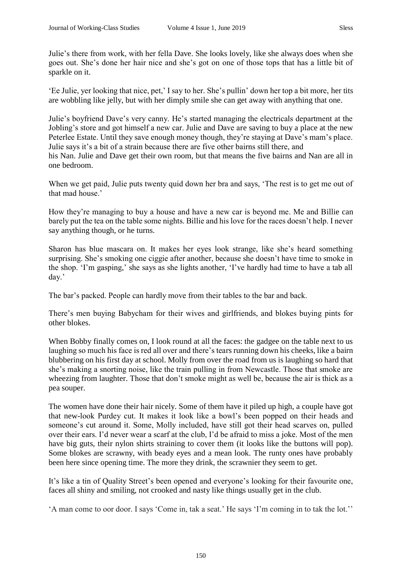'Ee Julie, yer looking that nice, pet,' I say to her. She's pullin' down her top a bit more, her tits are wobbling like jelly, but with her dimply smile she can get away with anything that one.

Julie's boyfriend Dave's very canny. He's started managing the electricals department at the Jobling's store and got himself a new car. Julie and Dave are saving to buy a place at the new Peterlee Estate. Until they save enough money though, they're staying at Dave's mam's place. Julie says it's a bit of a strain because there are five other bairns still there, and his Nan. Julie and Dave get their own room, but that means the five bairns and Nan are all in one bedroom.

When we get paid, Julie puts twenty quid down her bra and says, 'The rest is to get me out of that mad house.'

How they're managing to buy a house and have a new car is beyond me. Me and Billie can barely put the tea on the table some nights. Billie and his love for the races doesn't help. I never say anything though, or he turns.

Sharon has blue mascara on. It makes her eyes look strange, like she's heard something surprising. She's smoking one ciggie after another, because she doesn't have time to smoke in the shop. 'I'm gasping,' she says as she lights another, 'I've hardly had time to have a tab all day.'

The bar's packed. People can hardly move from their tables to the bar and back.

There's men buying Babycham for their wives and girlfriends, and blokes buying pints for other blokes.

When Bobby finally comes on, I look round at all the faces: the gadgee on the table next to us laughing so much his face is red all over and there's tears running down his cheeks, like a bairn blubbering on his first day at school. Molly from over the road from us is laughing so hard that she's making a snorting noise, like the train pulling in from Newcastle. Those that smoke are wheezing from laughter. Those that don't smoke might as well be, because the air is thick as a pea souper.

The women have done their hair nicely. Some of them have it piled up high, a couple have got that new-look Purdey cut. It makes it look like a bowl's been popped on their heads and someone's cut around it. Some, Molly included, have still got their head scarves on, pulled over their ears. I'd never wear a scarf at the club, I'd be afraid to miss a joke. Most of the men have big guts, their nylon shirts straining to cover them (it looks like the buttons will pop). Some blokes are scrawny, with beady eyes and a mean look. The runty ones have probably been here since opening time. The more they drink, the scrawnier they seem to get.

It's like a tin of Quality Street's been opened and everyone's looking for their favourite one, faces all shiny and smiling, not crooked and nasty like things usually get in the club.

'A man come to oor door. I says 'Come in, tak a seat.' He says 'I'm coming in to tak the lot.''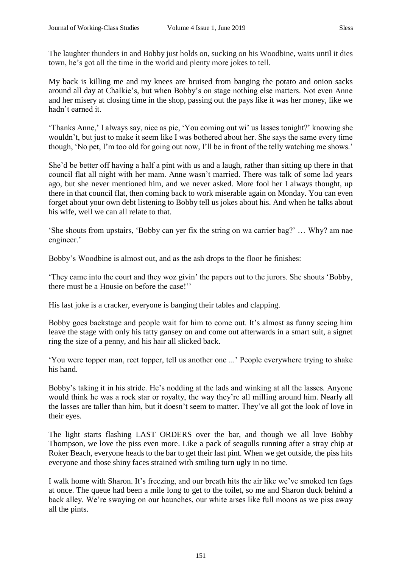The laughter thunders in and Bobby just holds on, sucking on his Woodbine, waits until it dies town, he's got all the time in the world and plenty more jokes to tell.

My back is killing me and my knees are bruised from banging the potato and onion sacks around all day at Chalkie's, but when Bobby's on stage nothing else matters. Not even Anne and her misery at closing time in the shop, passing out the pays like it was her money, like we hadn't earned it.

'Thanks Anne,' I always say, nice as pie, 'You coming out wi' us lasses tonight?' knowing she wouldn't, but just to make it seem like I was bothered about her. She says the same every time though, 'No pet, I'm too old for going out now, I'll be in front of the telly watching me shows.'

She'd be better off having a half a pint with us and a laugh, rather than sitting up there in that council flat all night with her mam. Anne wasn't married. There was talk of some lad years ago, but she never mentioned him, and we never asked. More fool her I always thought, up there in that council flat, then coming back to work miserable again on Monday. You can even forget about your own debt listening to Bobby tell us jokes about his. And when he talks about his wife, well we can all relate to that.

'She shouts from upstairs, 'Bobby can yer fix the string on wa carrier bag?' … Why? am nae engineer.'

Bobby's Woodbine is almost out, and as the ash drops to the floor he finishes:

'They came into the court and they woz givin' the papers out to the jurors. She shouts 'Bobby, there must be a Housie on before the case!''

His last joke is a cracker, everyone is banging their tables and clapping.

Bobby goes backstage and people wait for him to come out. It's almost as funny seeing him leave the stage with only his tatty gansey on and come out afterwards in a smart suit, a signet ring the size of a penny, and his hair all slicked back.

'You were topper man, reet topper, tell us another one ...' People everywhere trying to shake his hand.

Bobby's taking it in his stride. He's nodding at the lads and winking at all the lasses. Anyone would think he was a rock star or royalty, the way they're all milling around him. Nearly all the lasses are taller than him, but it doesn't seem to matter. They've all got the look of love in their eyes.

The light starts flashing LAST ORDERS over the bar, and though we all love Bobby Thompson, we love the piss even more. Like a pack of seagulls running after a stray chip at Roker Beach, everyone heads to the bar to get their last pint. When we get outside, the piss hits everyone and those shiny faces strained with smiling turn ugly in no time.

I walk home with Sharon. It's freezing, and our breath hits the air like we've smoked ten fags at once. The queue had been a mile long to get to the toilet, so me and Sharon duck behind a back alley. We're swaying on our haunches, our white arses like full moons as we piss away all the pints.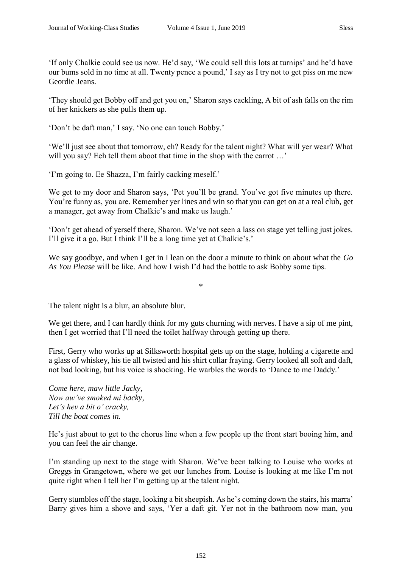'If only Chalkie could see us now. He'd say, 'We could sell this lots at turnips' and he'd have our bums sold in no time at all. Twenty pence a pound,' I say as I try not to get piss on me new Geordie Jeans.

'They should get Bobby off and get you on,' Sharon says cackling, A bit of ash falls on the rim of her knickers as she pulls them up.

'Don't be daft man,' I say. 'No one can touch Bobby.'

'We'll just see about that tomorrow, eh? Ready for the talent night? What will yer wear? What will you say? Eeh tell them aboot that time in the shop with the carrot ...'

'I'm going to. Ee Shazza, I'm fairly cacking meself.'

We get to my door and Sharon says, 'Pet you'll be grand. You've got five minutes up there. You're funny as, you are. Remember yer lines and win so that you can get on at a real club, get a manager, get away from Chalkie's and make us laugh.'

'Don't get ahead of yerself there, Sharon. We've not seen a lass on stage yet telling just jokes. I'll give it a go. But I think I'll be a long time yet at Chalkie's.'

We say goodbye, and when I get in I lean on the door a minute to think on about what the *Go As You Please* will be like. And how I wish I'd had the bottle to ask Bobby some tips.

\*

The talent night is a blur, an absolute blur.

We get there, and I can hardly think for my guts churning with nerves. I have a sip of me pint, then I get worried that I'll need the toilet halfway through getting up there.

First, Gerry who works up at Silksworth hospital gets up on the stage, holding a cigarette and a glass of whiskey, his tie all twisted and his shirt collar fraying. Gerry looked all soft and daft, not bad looking, but his voice is shocking. He warbles the words to 'Dance to me Daddy.'

*Come here, maw little Jacky, Now aw've smoked mi backy, Let's hev a bit o' cracky, Till the boat comes in.*

He's just about to get to the chorus line when a few people up the front start booing him, and you can feel the air change.

I'm standing up next to the stage with Sharon. We've been talking to Louise who works at Greggs in Grangetown, where we get our lunches from. Louise is looking at me like I'm not quite right when I tell her I'm getting up at the talent night.

Gerry stumbles off the stage, looking a bit sheepish. As he's coming down the stairs, his marra' Barry gives him a shove and says, 'Yer a daft git. Yer not in the bathroom now man, you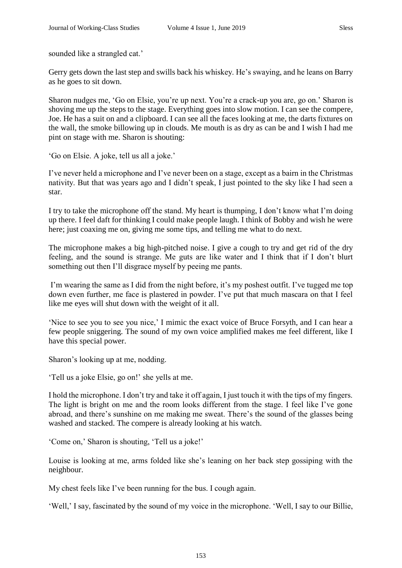sounded like a strangled cat.'

Gerry gets down the last step and swills back his whiskey. He's swaying, and he leans on Barry as he goes to sit down.

Sharon nudges me, 'Go on Elsie, you're up next. You're a crack-up you are, go on.' Sharon is shoving me up the steps to the stage. Everything goes into slow motion. I can see the compere, Joe. He has a suit on and a clipboard. I can see all the faces looking at me, the darts fixtures on the wall, the smoke billowing up in clouds. Me mouth is as dry as can be and I wish I had me pint on stage with me. Sharon is shouting:

'Go on Elsie. A joke, tell us all a joke.'

I've never held a microphone and I've never been on a stage, except as a bairn in the Christmas nativity. But that was years ago and I didn't speak, I just pointed to the sky like I had seen a star.

I try to take the microphone off the stand. My heart is thumping, I don't know what I'm doing up there. I feel daft for thinking I could make people laugh. I think of Bobby and wish he were here; just coaxing me on, giving me some tips, and telling me what to do next.

The microphone makes a big high-pitched noise. I give a cough to try and get rid of the dry feeling, and the sound is strange. Me guts are like water and I think that if I don't blurt something out then I'll disgrace myself by peeing me pants.

I'm wearing the same as I did from the night before, it's my poshest outfit. I've tugged me top down even further, me face is plastered in powder. I've put that much mascara on that I feel like me eyes will shut down with the weight of it all.

'Nice to see you to see you nice,' I mimic the exact voice of Bruce Forsyth, and I can hear a few people sniggering. The sound of my own voice amplified makes me feel different, like I have this special power.

Sharon's looking up at me, nodding.

'Tell us a joke Elsie, go on!' she yells at me.

I hold the microphone. I don't try and take it off again, I just touch it with the tips of my fingers. The light is bright on me and the room looks different from the stage. I feel like I've gone abroad, and there's sunshine on me making me sweat. There's the sound of the glasses being washed and stacked. The compere is already looking at his watch.

'Come on,' Sharon is shouting, 'Tell us a joke!'

Louise is looking at me, arms folded like she's leaning on her back step gossiping with the neighbour.

My chest feels like I've been running for the bus. I cough again.

'Well,' I say, fascinated by the sound of my voice in the microphone. 'Well, I say to our Billie,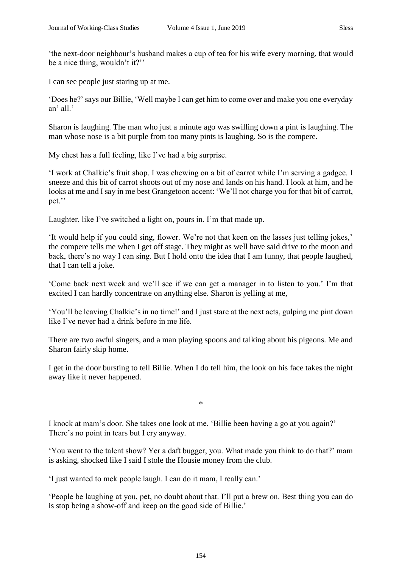'the next-door neighbour's husband makes a cup of tea for his wife every morning, that would be a nice thing, wouldn't it?''

I can see people just staring up at me.

'Does he?' says our Billie, 'Well maybe I can get him to come over and make you one everyday an' all.'

Sharon is laughing. The man who just a minute ago was swilling down a pint is laughing. The man whose nose is a bit purple from too many pints is laughing. So is the compere.

My chest has a full feeling, like I've had a big surprise.

'I work at Chalkie's fruit shop. I was chewing on a bit of carrot while I'm serving a gadgee. I sneeze and this bit of carrot shoots out of my nose and lands on his hand. I look at him, and he looks at me and I say in me best Grangetoon accent: 'We'll not charge you for that bit of carrot, pet.''

Laughter, like I've switched a light on, pours in. I'm that made up.

'It would help if you could sing, flower. We're not that keen on the lasses just telling jokes,' the compere tells me when I get off stage. They might as well have said drive to the moon and back, there's no way I can sing. But I hold onto the idea that I am funny, that people laughed, that I can tell a joke.

'Come back next week and we'll see if we can get a manager in to listen to you.' I'm that excited I can hardly concentrate on anything else. Sharon is yelling at me,

'You'll be leaving Chalkie's in no time!' and I just stare at the next acts, gulping me pint down like I've never had a drink before in me life.

There are two awful singers, and a man playing spoons and talking about his pigeons. Me and Sharon fairly skip home.

I get in the door bursting to tell Billie. When I do tell him, the look on his face takes the night away like it never happened.

\*

I knock at mam's door. She takes one look at me. 'Billie been having a go at you again?' There's no point in tears but I cry anyway.

'You went to the talent show? Yer a daft bugger, you. What made you think to do that?' mam is asking, shocked like I said I stole the Housie money from the club.

'I just wanted to mek people laugh. I can do it mam, I really can.'

'People be laughing at you, pet, no doubt about that. I'll put a brew on. Best thing you can do is stop being a show-off and keep on the good side of Billie.'